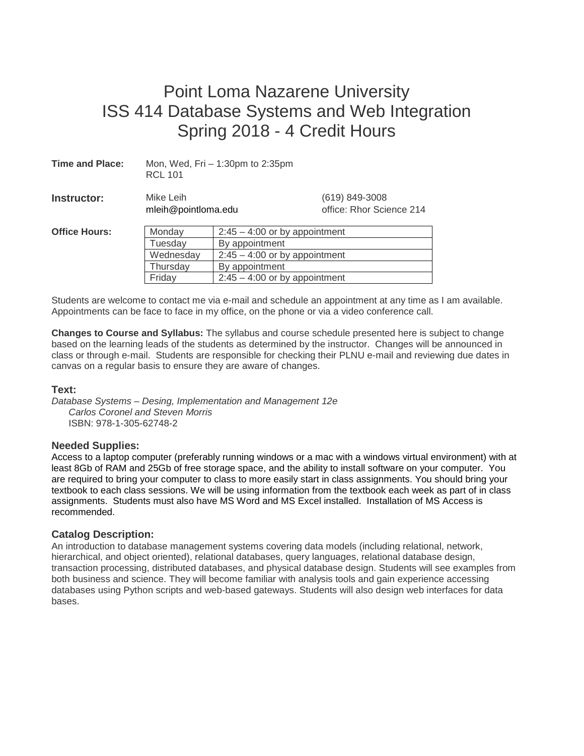# Point Loma Nazarene University ISS 414 Database Systems and Web Integration Spring 2018 - 4 Credit Hours

| <b>Time and Place:</b> | Mon, Wed, Fri - 1:30pm to 2:35pm<br><b>RCL 101</b> |                                 |                                                |  |
|------------------------|----------------------------------------------------|---------------------------------|------------------------------------------------|--|
| Instructor:            | Mike Leih<br>mleih@pointloma.edu                   |                                 | $(619) 849 - 3008$<br>office: Rhor Science 214 |  |
| <b>Office Hours:</b>   | Monday<br>$2:45 - 4:00$ or by appointment          |                                 |                                                |  |
|                        | Tuesday                                            | By appointment                  |                                                |  |
|                        | Wednesday                                          | $2:45 - 4:00$ or by appointment |                                                |  |
|                        | Thursday                                           | By appointment                  |                                                |  |
|                        | Friday                                             | $2:45 - 4:00$ or by appointment |                                                |  |

Students are welcome to contact me via e-mail and schedule an appointment at any time as I am available. Appointments can be face to face in my office, on the phone or via a video conference call.

**Changes to Course and Syllabus:** The syllabus and course schedule presented here is subject to change based on the learning leads of the students as determined by the instructor. Changes will be announced in class or through e-mail. Students are responsible for checking their PLNU e-mail and reviewing due dates in canvas on a regular basis to ensure they are aware of changes.

#### **Text:**

*Database Systems – Desing, Implementation and Management 12e Carlos Coronel and Steven Morris* ISBN: 978-1-305-62748-2

#### **Needed Supplies:**

Access to a laptop computer (preferably running windows or a mac with a windows virtual environment) with at least 8Gb of RAM and 25Gb of free storage space, and the ability to install software on your computer. You are required to bring your computer to class to more easily start in class assignments. You should bring your textbook to each class sessions. We will be using information from the textbook each week as part of in class assignments. Students must also have MS Word and MS Excel installed. Installation of MS Access is recommended.

#### **Catalog Description:**

An introduction to database management systems covering data models (including relational, network, hierarchical, and object oriented), relational databases, query languages, relational database design, transaction processing, distributed databases, and physical database design. Students will see examples from both business and science. They will become familiar with analysis tools and gain experience accessing databases using Python scripts and web‐based gateways. Students will also design web interfaces for data bases.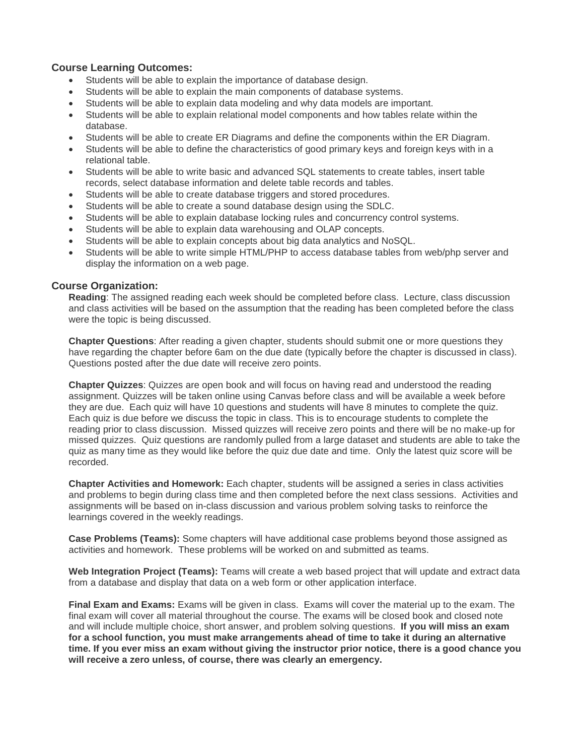#### **Course Learning Outcomes:**

- Students will be able to explain the importance of database design.
- Students will be able to explain the main components of database systems.
- Students will be able to explain data modeling and why data models are important.
- Students will be able to explain relational model components and how tables relate within the database.
- Students will be able to create ER Diagrams and define the components within the ER Diagram.
- Students will be able to define the characteristics of good primary keys and foreign keys with in a relational table.
- Students will be able to write basic and advanced SQL statements to create tables, insert table records, select database information and delete table records and tables.
- Students will be able to create database triggers and stored procedures.
- Students will be able to create a sound database design using the SDLC.
- Students will be able to explain database locking rules and concurrency control systems.
- Students will be able to explain data warehousing and OLAP concepts.
- Students will be able to explain concepts about big data analytics and NoSQL.
- Students will be able to write simple HTML/PHP to access database tables from web/php server and display the information on a web page.

#### **Course Organization:**

**Reading**: The assigned reading each week should be completed before class. Lecture, class discussion and class activities will be based on the assumption that the reading has been completed before the class were the topic is being discussed.

**Chapter Questions**: After reading a given chapter, students should submit one or more questions they have regarding the chapter before 6am on the due date (typically before the chapter is discussed in class). Questions posted after the due date will receive zero points.

**Chapter Quizzes**: Quizzes are open book and will focus on having read and understood the reading assignment. Quizzes will be taken online using Canvas before class and will be available a week before they are due. Each quiz will have 10 questions and students will have 8 minutes to complete the quiz. Each quiz is due before we discuss the topic in class. This is to encourage students to complete the reading prior to class discussion. Missed quizzes will receive zero points and there will be no make-up for missed quizzes. Quiz questions are randomly pulled from a large dataset and students are able to take the quiz as many time as they would like before the quiz due date and time. Only the latest quiz score will be recorded.

**Chapter Activities and Homework:** Each chapter, students will be assigned a series in class activities and problems to begin during class time and then completed before the next class sessions. Activities and assignments will be based on in-class discussion and various problem solving tasks to reinforce the learnings covered in the weekly readings.

**Case Problems (Teams):** Some chapters will have additional case problems beyond those assigned as activities and homework. These problems will be worked on and submitted as teams.

**Web Integration Project (Teams):** Teams will create a web based project that will update and extract data from a database and display that data on a web form or other application interface.

**Final Exam and Exams:** Exams will be given in class. Exams will cover the material up to the exam. The final exam will cover all material throughout the course. The exams will be closed book and closed note and will include multiple choice, short answer, and problem solving questions. **If you will miss an exam for a school function, you must make arrangements ahead of time to take it during an alternative time. If you ever miss an exam without giving the instructor prior notice, there is a good chance you will receive a zero unless, of course, there was clearly an emergency.**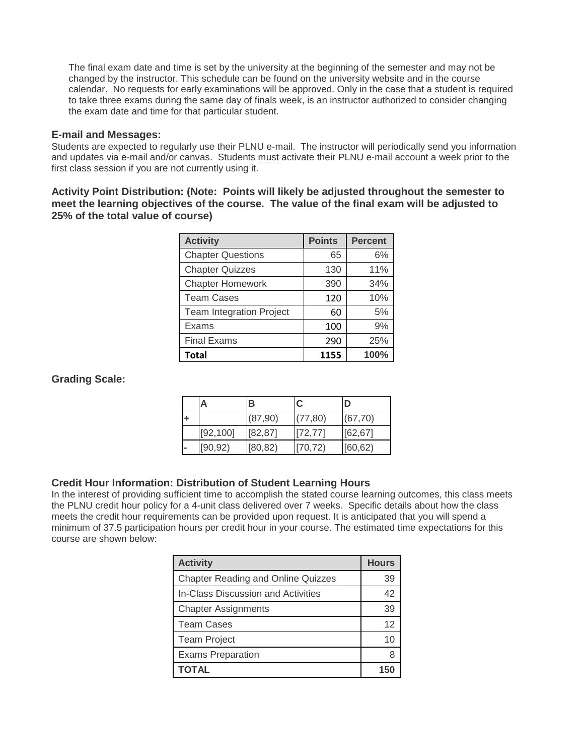The final exam date and time is set by the university at the beginning of the semester and may not be changed by the instructor. This schedule can be found on the university website and in the course calendar. No requests for early examinations will be approved. Only in the case that a student is required to take three exams during the same day of finals week, is an instructor authorized to consider changing the exam date and time for that particular student.

#### **E-mail and Messages:**

Students are expected to regularly use their PLNU e-mail. The instructor will periodically send you information and updates via e-mail and/or canvas. Students must activate their PLNU e-mail account a week prior to the first class session if you are not currently using it.

**Activity Point Distribution: (Note: Points will likely be adjusted throughout the semester to meet the learning objectives of the course. The value of the final exam will be adjusted to 25% of the total value of course)**

| <b>Activity</b>                 | <b>Points</b> | <b>Percent</b> |
|---------------------------------|---------------|----------------|
| <b>Chapter Questions</b>        | 65            | 6%             |
| <b>Chapter Quizzes</b>          | 130           | 11%            |
| <b>Chapter Homework</b>         | 390           | 34%            |
| <b>Team Cases</b>               | 120           | 10%            |
| <b>Team Integration Project</b> | 60            | 5%             |
| Exams                           | 100           | 9%             |
| <b>Final Exams</b>              | 290           | 25%            |
| <b>Total</b>                    | 1155          | 100%           |

## **Grading Scale:**

| А         | в        | C        |          |
|-----------|----------|----------|----------|
|           | (87,90)  | (77, 80) | (67, 70) |
| [92, 100] | [82, 87] | [72, 77] | [62, 67] |
| [90, 92)  | [80, 82) | [70, 72) | [60, 62] |

# **Credit Hour Information: Distribution of Student Learning Hours**

In the interest of providing sufficient time to accomplish the stated course learning outcomes, this class meets the PLNU credit hour policy for a 4-unit class delivered over 7 weeks. Specific details about how the class meets the credit hour requirements can be provided upon request. It is anticipated that you will spend a minimum of 37.5 participation hours per credit hour in your course. The estimated time expectations for this course are shown below:

| <b>Activity</b>                           | <b>Hours</b> |
|-------------------------------------------|--------------|
| <b>Chapter Reading and Online Quizzes</b> | 39           |
| <b>In-Class Discussion and Activities</b> | 42           |
| <b>Chapter Assignments</b>                | 39           |
| <b>Team Cases</b>                         | 12           |
| <b>Team Project</b>                       | 10           |
| <b>Exams Preparation</b>                  |              |
| TOTAL                                     |              |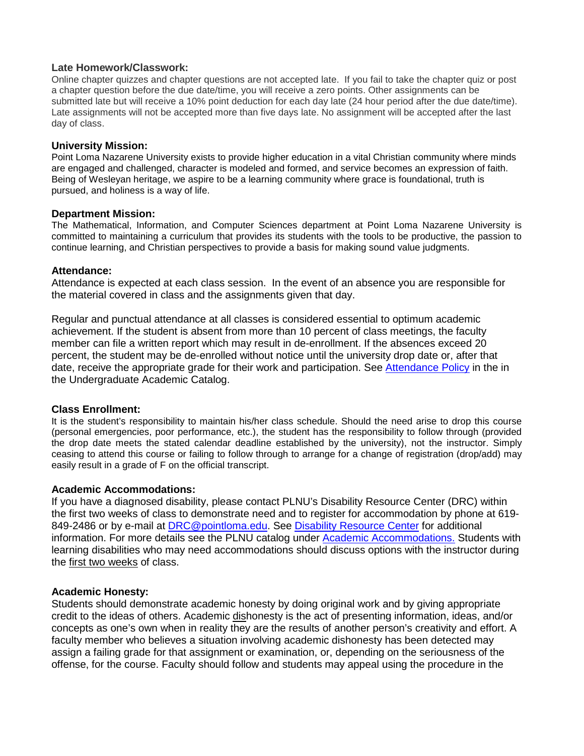#### **Late Homework/Classwork:**

Online chapter quizzes and chapter questions are not accepted late. If you fail to take the chapter quiz or post a chapter question before the due date/time, you will receive a zero points. Other assignments can be submitted late but will receive a 10% point deduction for each day late (24 hour period after the due date/time). Late assignments will not be accepted more than five days late. No assignment will be accepted after the last day of class.

#### **University Mission:**

Point Loma Nazarene University exists to provide higher education in a vital Christian community where minds are engaged and challenged, character is modeled and formed, and service becomes an expression of faith. Being of Wesleyan heritage, we aspire to be a learning community where grace is foundational, truth is pursued, and holiness is a way of life.

#### **Department Mission:**

The Mathematical, Information, and Computer Sciences department at Point Loma Nazarene University is committed to maintaining a curriculum that provides its students with the tools to be productive, the passion to continue learning, and Christian perspectives to provide a basis for making sound value judgments.

#### **Attendance:**

Attendance is expected at each class session. In the event of an absence you are responsible for the material covered in class and the assignments given that day.

Regular and punctual attendance at all classes is considered essential to optimum academic achievement. If the student is absent from more than 10 percent of class meetings, the faculty member can file a written report which may result in de-enrollment. If the absences exceed 20 percent, the student may be de-enrolled without notice until the university drop date or, after that date, receive the appropriate grade for their work and participation. See [Attendance Policy](https://catalog.pointloma.edu/content.php?catoid=28&navoid=1761#Class_Attendance) in the in the Undergraduate Academic Catalog.

### **Class Enrollment:**

It is the student's responsibility to maintain his/her class schedule. Should the need arise to drop this course (personal emergencies, poor performance, etc.), the student has the responsibility to follow through (provided the drop date meets the stated calendar deadline established by the university), not the instructor. Simply ceasing to attend this course or failing to follow through to arrange for a change of registration (drop/add) may easily result in a grade of F on the official transcript.

### **Academic Accommodations:**

If you have a diagnosed disability, please contact PLNU's Disability Resource Center (DRC) within the first two weeks of class to demonstrate need and to register for accommodation by phone at 619- 849-2486 or by e-mail at [DRC@pointloma.edu.](mailto:DRC@pointloma.edu) See [Disability Resource Center](http://www.pointloma.edu/experience/offices/administrative-offices/academic-advising-office/disability-resource-center) for additional information. For more details see the PLNU catalog under [Academic Accommodations.](https://catalog.pointloma.edu/content.php?catoid=28&navoid=1761#Academic_Accommodations) Students with learning disabilities who may need accommodations should discuss options with the instructor during the first two weeks of class.

### **Academic Honesty:**

Students should demonstrate academic honesty by doing original work and by giving appropriate credit to the ideas of others. Academic dishonesty is the act of presenting information, ideas, and/or concepts as one's own when in reality they are the results of another person's creativity and effort. A faculty member who believes a situation involving academic dishonesty has been detected may assign a failing grade for that assignment or examination, or, depending on the seriousness of the offense, for the course. Faculty should follow and students may appeal using the procedure in the